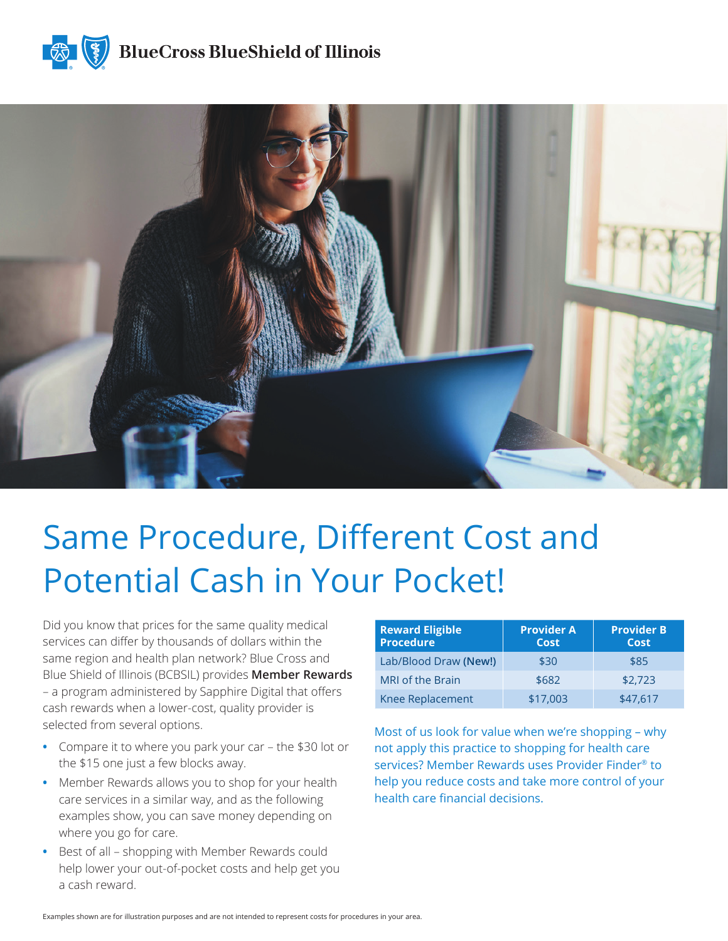



# Same Procedure, Different Cost and Potential Cash in Your Pocket!

Did you know that prices for the same quality medical services can differ by thousands of dollars within the same region and health plan network? Blue Cross and Blue Shield of Illinois (BCBSIL) provides **Member Rewards** – a program administered by Sapphire Digital that offers cash rewards when a lower-cost, quality provider is selected from several options.

- **•** Compare it to where you park your car the \$30 lot or the \$15 one just a few blocks away.
- **•** Member Rewards allows you to shop for your health care services in a similar way, and as the following examples show, you can save money depending on where you go for care.
- **•** Best of all shopping with Member Rewards could help lower your out-of-pocket costs and help get you a cash reward.

| <b>Reward Eligible</b><br><b>Procedure</b> | <b>Provider A</b><br>Cost | <b>Provider B</b><br>Cost |
|--------------------------------------------|---------------------------|---------------------------|
| Lab/Blood Draw (New!)                      | \$30                      | \$85                      |
| <b>MRI</b> of the Brain                    | \$682                     | \$2.723                   |
| <b>Knee Replacement</b>                    | \$17,003                  | \$47,617                  |

Most of us look for value when we're shopping – why not apply this practice to shopping for health care services? Member Rewards uses Provider Finder® to help you reduce costs and take more control of your health care financial decisions.